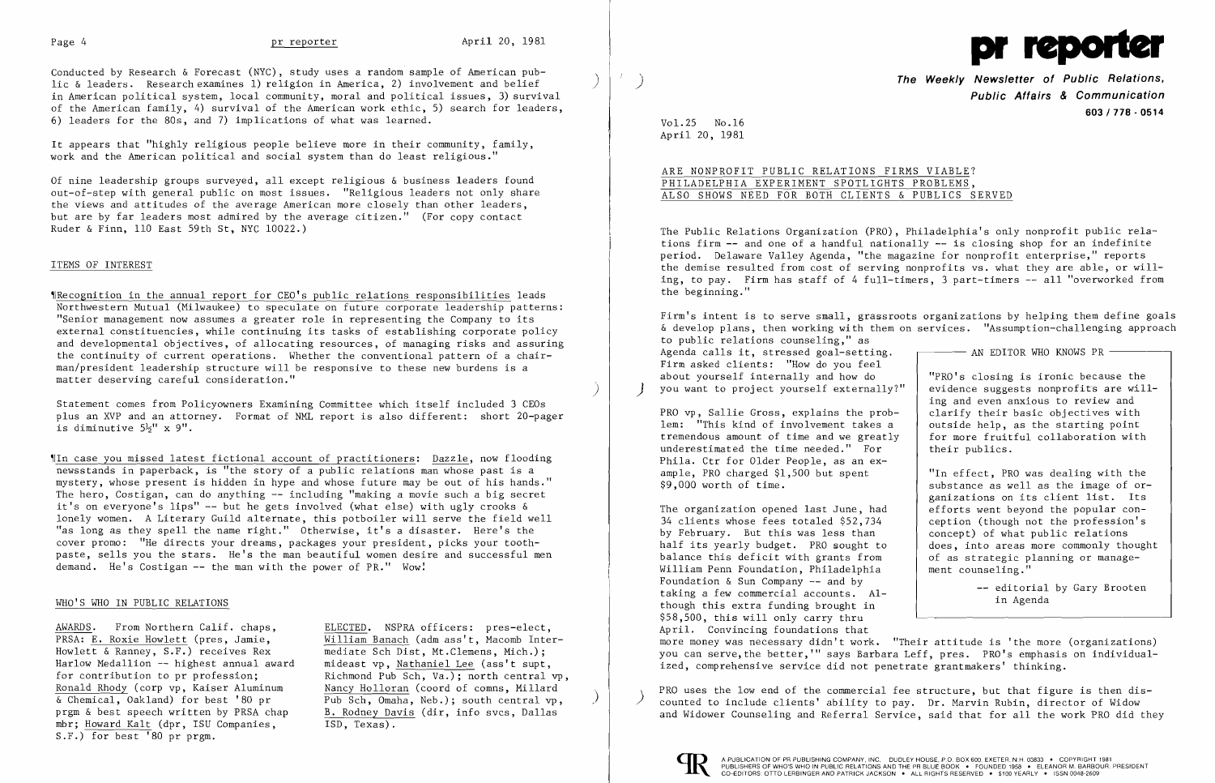Conducted by Research & Forecast (NYC), study uses a random sample of American public & leaders. Research examines 1) religion in America, 2) involvement and belief in American political system, local community, moral and political issues, 3) survival of the American family, 4) survival of the American work ethic, 5) search for leaders, 6) leaders for the 80s, and 7) implications of what was learned.

'IRecognition in the annual report for CEO's public relations responsibilities leads Northwestern Mutual (Milwaukee) to speculate on future corporate leadership patterns: "Senior management now assumes a greater role in representing the Company to its external constituencies, while continuing its tasks of establishing corporate policy and developmental objectives, of allocating resources, of managing risks and assuring the continuity of current operations. Whether the conventional pattern of a chairman/president leadership structure will be responsive to these new burdens is a matter deserving careful consideration."

It appears that "highly religious people believe more in their community, family, work and the American political and social system than do least religious."

Of nine leadership groups surveyed, all except religious & business leaders found out-of-step with general public on most issues. "Religious leaders not only share the views and attitudes of the average American more closely than other leaders, but are by far leaders most admired by the average citizen." (For copy contact Ruder &Finn, 110 East 59th St, NYC 10022.)

Statement comes from Policyowners Examining Committee which itself included 3 CEOs plus an XVP and an attorney. Format of NML report is also different: short 20-pager is diminutive  $5\frac{1}{2}$ " x 9".

'IIn case you missed latest fictional account of practitioners: Dazzle, now flooding newsstands in paperback, is "the story of a public relations man whose past is a mystery, whose present is hidden in hype and whose future may be out of his hands." The hero, Costigan, can do anything -- including "making a movie such a big secret it's on everyone's lips"  $-$  but he gets involved (what else) with ugly crooks  $\&$ lonely women. A Literary Guild alternate, this potboiler will serve the field well "as long as they spell the name right." Otherwise, it's a disaster. Here's the cover promo: "He directs your dreams, packages your president, picks your toothpaste, sells you the stars. He's the man beautiful women desire and successful men demand. He's Costigan  $--$  the man with the power of PR." Wow!

## ITEMS OF INTEREST

AWARDS. From Northern Calif. chaps, ELECTED. NSPRA officers: pres-elect, for contribution to pr profession;<br>Richmond Pub Sch, Va.); north central vp,<br>Ronald Rhody (corp vp, Kaiser Aluminum Nancy Holloran (coord of comns. Millard Pub Sch, Omaha, Neb.); south central vp,  $\overline{\text{ISD, Texas)}}$ .

PRSA: E. Roxie Howlett (pres, Jamie, William Banach (adm ass't, Macomb Inter-Howlett & Ranney, S.F.) receives Rex mediate Sch Dist, Mt.Clemens, Mich.); Howlett & Ranney, S.F.) receives Rex mediate Sch Dist, Mt.Clemens, Mich.);<br>Harlow Medallion -- highest annual award mideast vp. Nathaniel Lee (ass't supt Harlow Medallion -- highest annual award mideast vp, Nathaniel Lee (ass't supt,<br>for contribution to pr profession; Richmond Pub Sch, Va.); north central Ronald Rhody (corp vp, Kaiser Aluminum  $\frac{\text{Nancy Holloran}}{\text{Sub Sch. Omaha. Neb.}}$ ; south central vp prgm & best speech written by PRSA chap B. Rodney Davis (dir, info svcs, Dallas mbr; Howard Kalt (dpr. ISU Companies, S.F.) for best '80 pr prgm.

Firm's intent is to serve small, grassroots organizations by helping them define goals & develop plans, then working with them on services. "Assumption-challenging approach to public relations counseling," as Agenda calls it, stressed goal-setting.  $\Box$  AN EDITOR WHO KNOWS PR -Firm asked clients: "How do you feel about yourself internally and how do  $\vert$  "PRO's closing is ironic because the you want to project yourself externally?"  $\vert$  evidence suggests nonprofits are willyou want to project yourself externally?" ing and even anxious to review and PRO vp, Sallie Gross, explains the prob-<br>
lem: "This kind of involvement takes a soutside help, as the starting point lem: "This kind of involvement takes a<br>tremendous amount of time and we greatly for more fruitful collaboration with underestimated the time needed." For their publics. Phila. Ctr for Older People, as an ex ample, PRO charged \$1,500 but spent<br>\$9,000 worth of time. "In effect, PRO was dealing with the substance as well as the image of organizations on its client list. Its<br>efforts went beyond the popular con-The organization opened last June, had  $34$  clients whose fees totaled \$52,734 ception (though not the profession's by February. But this was less than  $\vert$  concept) of what public relations half its yearly budget. PRO sought to does, into areas more commonly thought balance this deficit with grants from  $\begin{array}{|l|l|}\n\hline\n\text{b}i & \text{inter} & \text{inter} \\
\hline\n\text{b}i & \text{inter} & \text{inter} \\
\hline\n\text{b}i & \text{inter} & \text{inter} \\
\hline\n\text{b}i & \text{inter} & \text{inter} \\
\hline\n\text{b}i & \text{inter} & \text{inter} \\
\hline\n\text{b}i & \text{inter} & \text{inter} \\
\hline\n\text{b}i & \text{inter} & \text{inter} \\
\hline\n\text{b}$ William Penn Foundation, Philadelphia Foundation  $\&$  Sun Company  $--$  and by

## WHO'S WHO IN PUBLIC RELATIONS

editorial by Gary Brooten taking a few commercial accounts. Al-<br>though this extra funding brought in though this extra funding brought in \$58,500, this will only carry thru April. Convincing foundations that more money was necessary didn't work. "Their attitude is 'the more (organizations) you can serve, the better,'" says Barbara Leff, pres. PRO's emphasis on individual ized, comprehensive service did not penetrate grantmakers' thinking.



) **The Weekly Newsletter of Public Relations, Public Affairs & Communication 603/778 - 0514** 

Vol. 25 No.16 April 20, 1981

 $\mathcal{F}^{\perp}$ 

# ARE NONPROFIT PUBLIC RELATIONS FIRMS VIABLE? PHILADELPHIA EXPERIMENT SPOTLIGHTS PROBLEMS. ALSO SHOWS NEED FOR BOTH CLIENTS & PUBLICS SERVED

The Public Relations Organization (PRO), Philadelphia's only nonprofit public relations firm **--** and one of a handful nationally -- is closing shop for an indefinite period. Delaware Valley Agenda, "the magazine for nonprofit enterprise," reports the demise resulted from cost of serving nonprofits vs. what they are able, or willing, to pay. Firm has staff of 4 full-timers, 3 part-timers -- all "overworked from the beginning."

PRO uses the low end of the commercial fee structure, but that figure is then dis ) counted to include clients' ability to pay. Dr. Marvin Rubin, director of Widow and Widower Counseling and Referral Service, said that for all the work PRO did they